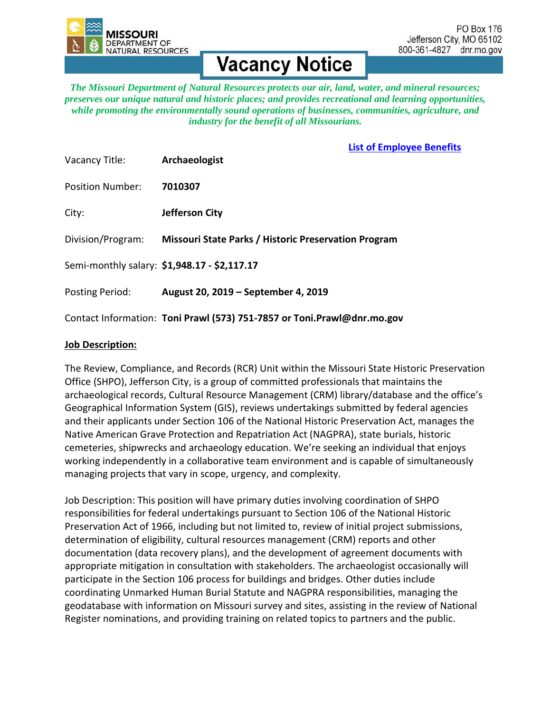

# **Vacancy Notice**

*The Missouri Department of Natural Resources protects our air, land, water, and mineral resources; preserves our unique natural and historic places; and provides recreational and learning opportunities, while promoting the environmentally sound operations of businesses, communities, agriculture, and industry for the benefit of all Missourians.*

### **[List of Employee Benefits](https://dnr.mo.gov/hr/docs/benefits-summary-2018-02.pdf)**

| Vacancy Title:          | Archaeologist                                                           |
|-------------------------|-------------------------------------------------------------------------|
| <b>Position Number:</b> | 7010307                                                                 |
| City:                   | Jefferson City                                                          |
| Division/Program:       | <b>Missouri State Parks / Historic Preservation Program</b>             |
|                         | Semi-monthly salary: \$1,948.17 - \$2,117.17                            |
| Posting Period:         | August 20, 2019 – September 4, 2019                                     |
|                         | Contact Information: Toni Prawl (573) 751-7857 or Toni.Prawl@dnr.mo.gov |

#### **Job Description:**

The Review, Compliance, and Records (RCR) Unit within the Missouri State Historic Preservation Office (SHPO), Jefferson City, is a group of committed professionals that maintains the archaeological records, Cultural Resource Management (CRM) library/database and the office's Geographical Information System (GIS), reviews undertakings submitted by federal agencies and their applicants under Section 106 of the National Historic Preservation Act, manages the Native American Grave Protection and Repatriation Act (NAGPRA), state burials, historic cemeteries, shipwrecks and archaeology education. We're seeking an individual that enjoys working independently in a collaborative team environment and is capable of simultaneously managing projects that vary in scope, urgency, and complexity.

Job Description: This position will have primary duties involving coordination of SHPO responsibilities for federal undertakings pursuant to Section 106 of the National Historic Preservation Act of 1966, including but not limited to, review of initial project submissions, determination of eligibility, cultural resources management (CRM) reports and other documentation (data recovery plans), and the development of agreement documents with appropriate mitigation in consultation with stakeholders. The archaeologist occasionally will participate in the Section 106 process for buildings and bridges. Other duties include coordinating Unmarked Human Burial Statute and NAGPRA responsibilities, managing the geodatabase with information on Missouri survey and sites, assisting in the review of National Register nominations, and providing training on related topics to partners and the public.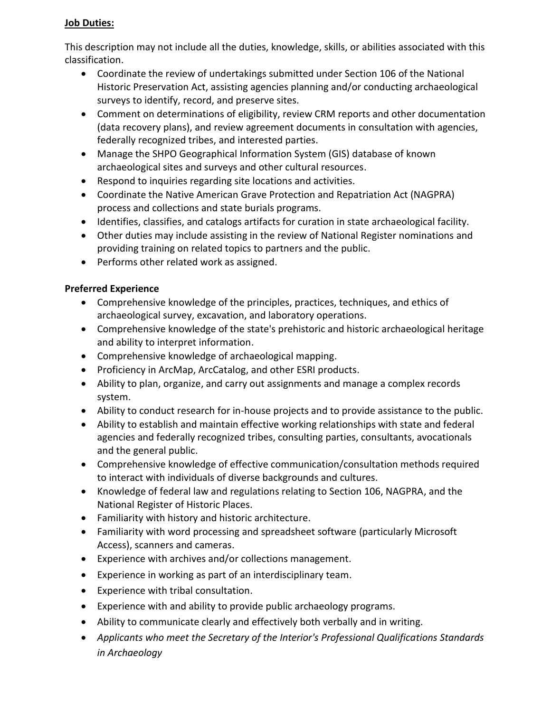### **Job Duties:**

This description may not include all the duties, knowledge, skills, or abilities associated with this classification.

- Coordinate the review of undertakings submitted under Section 106 of the National Historic Preservation Act, assisting agencies planning and/or conducting archaeological surveys to identify, record, and preserve sites.
- Comment on determinations of eligibility, review CRM reports and other documentation (data recovery plans), and review agreement documents in consultation with agencies, federally recognized tribes, and interested parties.
- Manage the SHPO Geographical Information System (GIS) database of known archaeological sites and surveys and other cultural resources.
- Respond to inquiries regarding site locations and activities.
- Coordinate the Native American Grave Protection and Repatriation Act (NAGPRA) process and collections and state burials programs.
- Identifies, classifies, and catalogs artifacts for curation in state archaeological facility.
- Other duties may include assisting in the review of National Register nominations and providing training on related topics to partners and the public.
- Performs other related work as assigned.

## **Preferred Experience**

- Comprehensive knowledge of the principles, practices, techniques, and ethics of archaeological survey, excavation, and laboratory operations.
- Comprehensive knowledge of the state's prehistoric and historic archaeological heritage and ability to interpret information.
- Comprehensive knowledge of archaeological mapping.
- Proficiency in ArcMap, ArcCatalog, and other ESRI products.
- Ability to plan, organize, and carry out assignments and manage a complex records system.
- Ability to conduct research for in-house projects and to provide assistance to the public.
- Ability to establish and maintain effective working relationships with state and federal agencies and federally recognized tribes, consulting parties, consultants, avocationals and the general public.
- Comprehensive knowledge of effective communication/consultation methods required to interact with individuals of diverse backgrounds and cultures.
- Knowledge of federal law and regulations relating to Section 106, NAGPRA, and the National Register of Historic Places.
- Familiarity with history and historic architecture.
- Familiarity with word processing and spreadsheet software (particularly Microsoft Access), scanners and cameras.
- Experience with archives and/or collections management.
- Experience in working as part of an interdisciplinary team.
- Experience with tribal consultation.
- Experience with and ability to provide public archaeology programs.
- Ability to communicate clearly and effectively both verbally and in writing.
- *Applicants who meet the Secretary of the Interior's Professional Qualifications Standards in Archaeology*